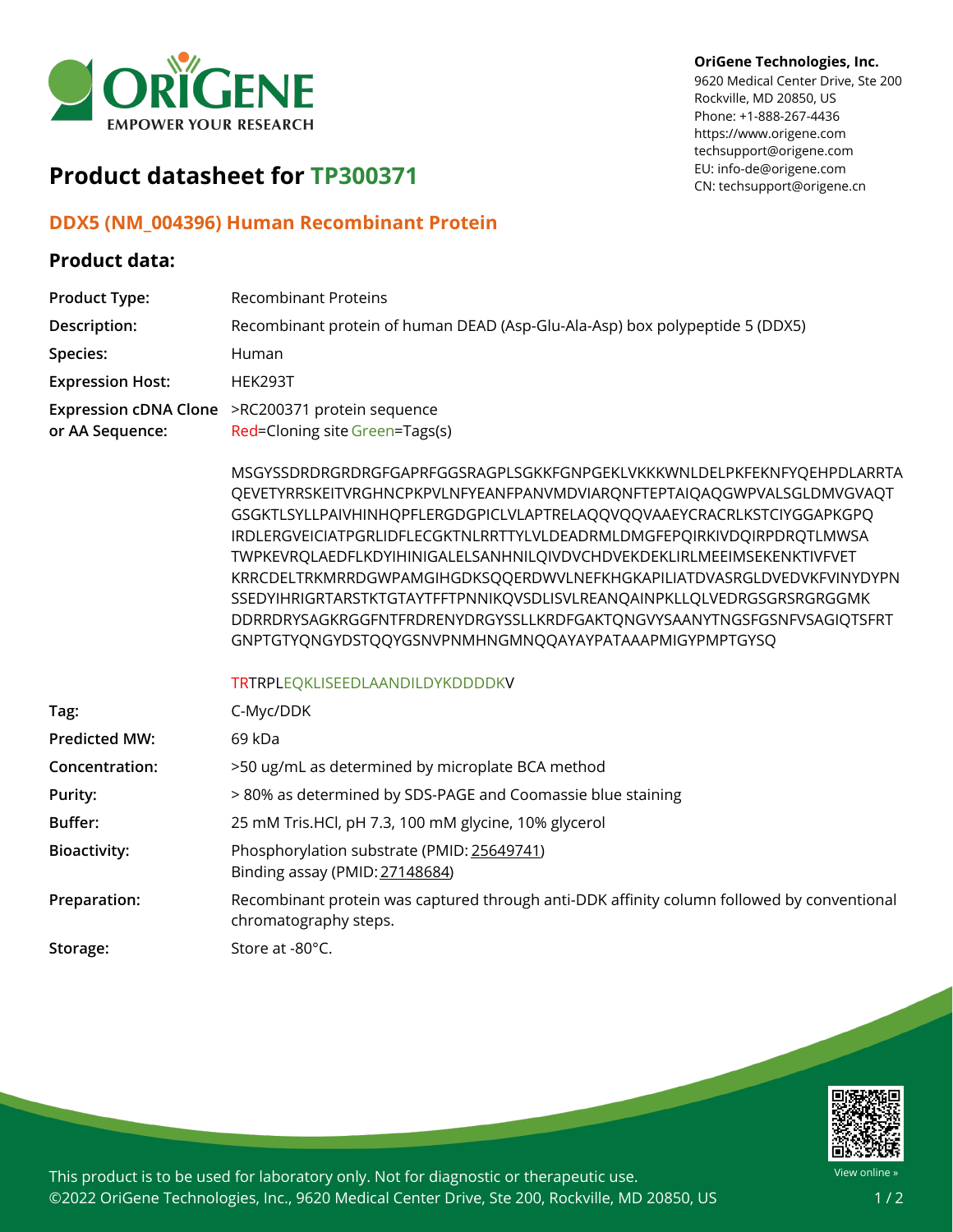

#### **OriGene Technologies, Inc.**

9620 Medical Center Drive, Ste 200 Rockville, MD 20850, US Phone: +1-888-267-4436 https://www.origene.com techsupport@origene.com EU: info-de@origene.com CN: techsupport@origene.cn

# **Product datasheet for TP300371**

### **DDX5 (NM\_004396) Human Recombinant Protein**

### **Product data:**

| <b>Product Type:</b>    | <b>Recombinant Proteins</b>                                                                                                                                                                                                                                                                                                                                                                                                                                                                                                                                                                                                                                            |
|-------------------------|------------------------------------------------------------------------------------------------------------------------------------------------------------------------------------------------------------------------------------------------------------------------------------------------------------------------------------------------------------------------------------------------------------------------------------------------------------------------------------------------------------------------------------------------------------------------------------------------------------------------------------------------------------------------|
| Description:            | Recombinant protein of human DEAD (Asp-Glu-Ala-Asp) box polypeptide 5 (DDX5)                                                                                                                                                                                                                                                                                                                                                                                                                                                                                                                                                                                           |
| Species:                | Human                                                                                                                                                                                                                                                                                                                                                                                                                                                                                                                                                                                                                                                                  |
| <b>Expression Host:</b> | HEK293T                                                                                                                                                                                                                                                                                                                                                                                                                                                                                                                                                                                                                                                                |
| or AA Sequence:         | Expression cDNA Clone >RC200371 protein sequence<br>Red=Cloning site Green=Tags(s)                                                                                                                                                                                                                                                                                                                                                                                                                                                                                                                                                                                     |
|                         | MSGYSSDRDRGRDRGFGAPRFGGSRAGPLSGKKFGNPGEKLVKKKWNLDELPKFEKNFYQEHPDLARRTA<br>QEVETYRRSKEITVRGHNCPKPVLNFYEANFPANVMDVIARQNFTEPTAIQAQGWPVALSGLDMVGVAQT<br>GSGKTLSYLLPAIVHINHQPFLERGDGPICLVLAPTRELAQQVQQVAAEYCRACRLKSTCIYGGAPKGPQ<br>IRDLERGVEICIATPGRLIDFLECGKTNLRRTTYLVLDEADRMLDMGFEPQIRKIVDQIRPDRQTLMWSA<br>TWPKEVRQLAEDFLKDYIHINIGALELSANHNILQIVDVCHDVEKDEKLIRLMEEIMSEKENKTIVFVET<br>KRRCDELTRKMRRDGWPAMGIHGDKSQQERDWVLNEFKHGKAPILIATDVASRGLDVEDVKFVINYDYPN<br>SSEDYIHRIGRTARSTKTGTAYTFFTPNNIKQVSDLISVLREANQAINPKLLQLVEDRGSGRSRGRGGMK<br>DDRRDRYSAGKRGGFNTFRDRENYDRGYSSLLKRDFGAKTQNGVYSAANYTNGSFGSNFVSAGIQTSFRT<br>GNPTGTYQNGYDSTQQYGSNVPNMHNGMNQQAYAYPATAAAPMIGYPMPTGYSQ |
|                         | TRTRPLEQKLISEEDLAANDILDYKDDDDKV                                                                                                                                                                                                                                                                                                                                                                                                                                                                                                                                                                                                                                        |
| Tag:                    | C-Myc/DDK                                                                                                                                                                                                                                                                                                                                                                                                                                                                                                                                                                                                                                                              |
| <b>Predicted MW:</b>    | 69 kDa                                                                                                                                                                                                                                                                                                                                                                                                                                                                                                                                                                                                                                                                 |
| Concentration:          | >50 ug/mL as determined by microplate BCA method                                                                                                                                                                                                                                                                                                                                                                                                                                                                                                                                                                                                                       |
| Purity:                 | > 80% as determined by SDS-PAGE and Coomassie blue staining                                                                                                                                                                                                                                                                                                                                                                                                                                                                                                                                                                                                            |
| Buffer:                 | 25 mM Tris.HCl, pH 7.3, 100 mM glycine, 10% glycerol                                                                                                                                                                                                                                                                                                                                                                                                                                                                                                                                                                                                                   |
| <b>Bioactivity:</b>     | Phosphorylation substrate (PMID: 25649741)<br>Binding assay (PMID: 27148684)                                                                                                                                                                                                                                                                                                                                                                                                                                                                                                                                                                                           |
| Preparation:            | Recombinant protein was captured through anti-DDK affinity column followed by conventional<br>chromatography steps.                                                                                                                                                                                                                                                                                                                                                                                                                                                                                                                                                    |
| Storage:                | Store at -80°C.                                                                                                                                                                                                                                                                                                                                                                                                                                                                                                                                                                                                                                                        |



This product is to be used for laboratory only. Not for diagnostic or therapeutic use. ©2022 OriGene Technologies, Inc., 9620 Medical Center Drive, Ste 200, Rockville, MD 20850, US